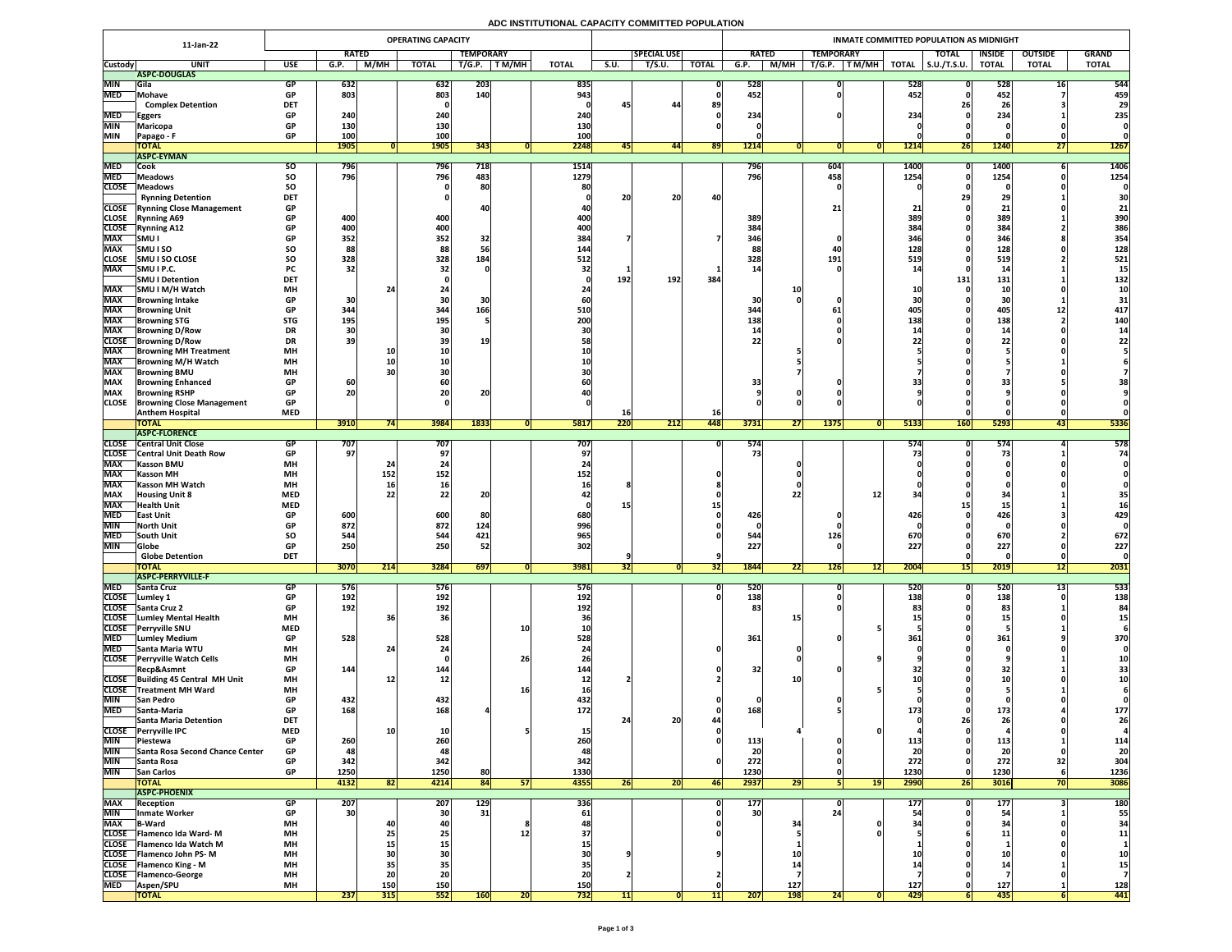# **ADC INSTITUTIONAL CAPACITY COMMITTED POPULATION**

|                              | 11-Jan-22                                                           |                         |                          |                   | <b>OPERATING CAPACITY</b> |            |        |                   |                    |                     |              | <b>INMATE COMMITTED POPULATION AS MIDNIGHT</b> |                   |                         |                     |                     |                     |              |                 |  |  |  |  |
|------------------------------|---------------------------------------------------------------------|-------------------------|--------------------------|-------------------|---------------------------|------------|--------|-------------------|--------------------|---------------------|--------------|------------------------------------------------|-------------------|-------------------------|---------------------|---------------------|---------------------|--------------|-----------------|--|--|--|--|
|                              |                                                                     | <b>RATED</b>            |                          |                   | <b>TEMPORARY</b>          |            |        |                   | <b>SPECIAL USE</b> |                     | <b>RATED</b> |                                                | <b>TEMPORARY</b>  |                         | <b>TOTAL</b>        | <b>INSIDE</b>       | <b>GRAND</b>        |              |                 |  |  |  |  |
| <b>Custody</b>               | <b>UNIT</b>                                                         | <b>USE</b>              | G.P.                     | M/MH              | <b>TOTAL</b>              | T/G.P.     | T M/MH | <b>TOTAL</b>      | <b>S.U.</b>        | $T/S.\overline{U}.$ | <b>TOTAL</b> | G.P.                                           | M/MH              | T/G.P.<br>T M/MH        | <b>TOTAL</b>        | $\vert$ S.U./T.S.U. | <b>TOTAL</b>        | <b>TOTAL</b> | <b>TOTAL</b>    |  |  |  |  |
| <b>MIN</b>                   | ASPC-DOUGLAS<br><b>Sila</b>                                         | <b>GP</b>               | 632                      |                   | 632                       | 203        |        | 835               |                    |                     |              | 528                                            |                   |                         | 528                 |                     | 528                 | ᅶ            | 544             |  |  |  |  |
| <b>MED</b>                   | Mohave                                                              | <b>GP</b>               | 803                      |                   | 803                       | 140        |        | 943               |                    |                     |              | 452                                            |                   |                         | 452                 |                     | 452                 |              | 459             |  |  |  |  |
|                              | <b>Complex Detention</b>                                            | <b>DET</b>              |                          |                   |                           |            |        |                   | 45                 | -44                 | 89           |                                                |                   |                         |                     |                     |                     |              | 29              |  |  |  |  |
| <b>MED</b>                   | <b>Eggers</b>                                                       | <b>GP</b>               | 240                      |                   | 240                       |            |        | 240               |                    |                     |              | 234                                            |                   |                         | 234                 |                     | 234                 |              | 235             |  |  |  |  |
| <b>MIN</b><br><b>IMIN</b>    | Maricopa<br><b>Papago - F</b>                                       | <b>GP</b><br><b>GP</b>  | <b>130</b><br><b>100</b> |                   | 130<br><b>100</b>         |            |        | 130<br>100        |                    |                     |              |                                                |                   |                         |                     |                     |                     |              |                 |  |  |  |  |
|                              | <b>TOTAL</b>                                                        |                         | <b>1905</b>              |                   | 1905                      | 343        |        | 2248              | 45                 | 44                  | 89           | 1214                                           |                   |                         | 1214                | <b>26</b>           | <b>1240</b>         | LI.          | <b>1267</b>     |  |  |  |  |
|                              | <b>ASPC-EYMAN</b>                                                   |                         |                          |                   |                           |            |        |                   |                    |                     |              |                                                |                   |                         |                     |                     |                     |              |                 |  |  |  |  |
| <b>MED</b><br><b>MED</b>     | <b>Cook</b><br><b>Meadows</b>                                       | <b>SO</b><br>SO         | 796<br>796               |                   | 796<br>796                | 718<br>483 |        | 1514<br>1279      |                    |                     |              | 796<br>796                                     |                   | $\overline{604}$<br>458 | <b>1400</b><br>1254 |                     | <b>1400</b><br>1254 |              | 1406<br>1254    |  |  |  |  |
| <b>CLOSE</b>                 | <b>Meadows</b>                                                      | <b>SO</b>               |                          |                   |                           |            |        | 80                |                    |                     |              |                                                |                   |                         |                     |                     |                     |              |                 |  |  |  |  |
|                              | <b>Rynning Detention</b>                                            | <b>DET</b>              |                          |                   |                           |            |        |                   | <u>лл</u><br>ZU    | 20<br>ZU            |              |                                                |                   |                         |                     |                     |                     |              | 30 <sup>1</sup> |  |  |  |  |
| <b>CLOSE</b>                 | <b>Rynning Close Management</b>                                     | <b>GP</b>               |                          |                   |                           |            |        |                   |                    |                     |              |                                                |                   | 21                      |                     |                     |                     |              |                 |  |  |  |  |
| <b>CLOSE</b><br><b>CLOSE</b> | <b>Rynning A69</b>                                                  | <b>GP</b><br><b>GP</b>  | 400<br>400               |                   | 400<br>400                |            |        | 400<br>400        |                    |                     |              | 389<br>384                                     |                   |                         | <b>389 </b><br>384  |                     | 389<br>384          |              | 390<br>386      |  |  |  |  |
| <b>MAX</b>                   | <b>IRynning A12</b><br><b>SMU I</b>                                 | <b>GP</b>               | 352                      |                   | 352                       | 32         |        | 384               |                    |                     |              | 346                                            |                   |                         | <b>346</b>          |                     | 346                 |              | 354             |  |  |  |  |
| <b>MAX</b>                   | <b>SMUISO</b>                                                       | <b>SO</b>               | 88                       |                   | 88                        |            |        | 144               |                    |                     |              | 88                                             |                   |                         | 128                 |                     | 128                 |              | 128             |  |  |  |  |
| <b>CLOSE</b>                 | <b>SMU I SO CLOSE</b>                                               | SO                      | 328                      |                   | 328                       | 184        |        | 512               |                    |                     |              | 328                                            |                   | 191                     | 519                 |                     | 519                 |              | 521             |  |  |  |  |
| <b>MAX</b>                   | SMU I P.C.<br>SMU I Detention                                       | <b>PC</b><br><b>DET</b> | 32                       |                   |                           |            |        |                   |                    | 192                 | <b>384</b>   |                                                |                   |                         |                     |                     |                     |              |                 |  |  |  |  |
| <b>MAX</b>                   | SMU I M/H Watch                                                     | <b>MH</b>               |                          | 24                |                           |            |        |                   | 192                |                     |              |                                                |                   |                         |                     | 131                 | 131                 |              | 132             |  |  |  |  |
| <b>MAX</b>                   | <b>Browning Intake</b>                                              | <b>GP</b>               | 30                       |                   |                           |            |        |                   |                    |                     |              | 30 <sup>1</sup>                                |                   |                         |                     |                     | JU                  |              |                 |  |  |  |  |
| <b>MAX</b>                   | <b>Browning Unit</b>                                                | <b>GP</b>               | 344                      |                   | 344                       | 166        |        | 510               |                    |                     |              | 344                                            |                   |                         |                     |                     | 405                 |              | 417             |  |  |  |  |
| <b>MAX</b>                   | <b>Browning STG</b>                                                 | <b>STG</b>              | <b>195</b>               |                   | 195                       |            |        | 200               |                    |                     |              | 138                                            |                   |                         | 138                 |                     | 138                 |              | <b>140</b>      |  |  |  |  |
| <b>MAX</b><br><b>CLOSE</b>   | <b>Browning D/Row</b><br><b>Browning D/Row</b>                      | <b>DR</b><br><b>DR</b>  | 30<br>39                 |                   |                           |            |        |                   |                    |                     |              | 22                                             |                   |                         |                     |                     |                     |              |                 |  |  |  |  |
| <b>MAX</b>                   | <b>Browning MH Treatment</b>                                        | <b>MH</b>               |                          |                   |                           |            |        |                   |                    |                     |              |                                                |                   |                         |                     |                     |                     |              |                 |  |  |  |  |
| <b>MAX</b>                   | <b>Browning M/H Watch</b>                                           | <b>MH</b>               |                          |                   |                           |            |        | <b>10</b>         |                    |                     |              |                                                |                   |                         |                     |                     |                     |              |                 |  |  |  |  |
| <b>MAX</b>                   | <b>Browning BMU</b>                                                 | <b>MH</b>               |                          |                   |                           |            |        | 30                |                    |                     |              |                                                |                   |                         |                     |                     |                     |              |                 |  |  |  |  |
| <b>MAX</b><br><b>MAX</b>     | <b>Browning Enhanced</b><br><b>Browning RSHP</b>                    | <b>GP</b><br><b>GP</b>  | 60<br>20                 |                   |                           | 20         |        | 60                |                    |                     |              | 33                                             |                   |                         |                     |                     | 33                  |              |                 |  |  |  |  |
| <b>CLOSE</b>                 | <b>Browning Close Management</b>                                    | <b>GP</b>               |                          |                   |                           |            |        |                   |                    |                     |              |                                                |                   |                         |                     |                     |                     |              |                 |  |  |  |  |
|                              | <b>Anthem Hospital</b>                                              | <b>MED</b>              |                          |                   |                           |            |        |                   | TPI                |                     | <b>16</b>    |                                                |                   |                         |                     |                     |                     |              |                 |  |  |  |  |
|                              | <b>TOTAL</b>                                                        |                         | 3910                     | 74                | 3984                      | 1833       |        | 5817              | 220                | $\overline{212}$    | <b>448</b>   | 3731                                           | $\overline{27}$   | <b>1375</b>             | 5133                | <b>160</b>          | 5293                | 43           | 5336            |  |  |  |  |
| <b>CLOSE</b>                 | <b>ASPC-FLORENCE</b><br><b>Central Unit Close</b>                   | <b>GP</b>               | 707                      |                   | 707                       |            |        | 707               |                    |                     |              | 574                                            |                   |                         | 574                 |                     | 574                 |              | 578             |  |  |  |  |
| <b>CLOSE</b>                 | <b>Central Unit Death Row</b>                                       | <b>GP</b>               | 97                       |                   |                           |            |        | 97                |                    |                     |              | 73 <sub>1</sub>                                |                   |                         |                     |                     |                     |              | 74              |  |  |  |  |
| <b>MAX</b>                   | <b>Kasson BMU</b>                                                   | <b>MH</b>               |                          |                   | Z4                        |            |        |                   |                    |                     |              |                                                |                   |                         |                     |                     |                     |              |                 |  |  |  |  |
| <b>MAX</b>                   | <b>Kasson MH</b>                                                    | <b>MH</b>               |                          | 152               | 152                       |            |        | 152               |                    |                     |              |                                                |                   |                         |                     |                     |                     |              |                 |  |  |  |  |
| <b>MAX</b><br><b>MAX</b>     | <b>Kasson MH Watch</b><br><b>Housing Unit 8</b>                     | <b>MH</b><br><b>MED</b> |                          |                   | 16<br>22                  | 20         |        |                   |                    |                     |              |                                                |                   |                         |                     |                     |                     |              |                 |  |  |  |  |
| <b>MAX</b>                   | <b>Health Unit</b>                                                  | <b>MED</b>              |                          |                   |                           |            |        |                   | <u>15 </u>         |                     |              |                                                |                   |                         |                     |                     |                     |              |                 |  |  |  |  |
| <b>MED</b>                   | <b>East Unit</b>                                                    | <b>GP</b>               | 600                      |                   | 600                       |            |        | 680               |                    |                     |              | 426                                            |                   |                         | 426                 |                     | 426                 |              | 429             |  |  |  |  |
| <b>MIN</b>                   | North Unit                                                          | <b>GP</b>               | 872                      |                   | 872                       | 124        |        | 996               |                    |                     |              |                                                |                   |                         |                     |                     |                     |              |                 |  |  |  |  |
| <b>MED</b><br><b>MIN</b>     | <b>South Unit</b><br> Globe                                         | <b>SO</b><br><b>GP</b>  | 544<br>250               |                   | 544<br>250                | 421<br>52  |        | 965<br>302        |                    |                     |              | 544<br>227                                     |                   | 126                     | <b>670</b><br>227   |                     | 670<br>227          |              | 672<br>227      |  |  |  |  |
|                              | <b>Globe Detention</b>                                              | <b>DET</b>              |                          |                   |                           |            |        |                   |                    |                     |              |                                                |                   |                         |                     |                     |                     |              |                 |  |  |  |  |
|                              | <b>TOTAL</b>                                                        |                         | 3070                     | 214               | 3284                      | 697        |        | 3981              | 32                 |                     | <b>321</b>   | <b>1844</b>                                    | 22                | 126                     | 2004<br> 12         | וכב                 | 2019                | 12           | 2031            |  |  |  |  |
| <b>MED</b>                   | <b>ASPC-PERRYVILLE-F</b><br><b>Santa Cruz</b>                       | <b>GP</b>               | 576                      |                   | 576                       |            |        | 576               |                    |                     |              | 520                                            |                   |                         | <b>520</b>          |                     | 520                 |              | 533             |  |  |  |  |
|                              | CLOSE Lumley 1                                                      | <b>GP</b>               | 192                      |                   | 192                       |            |        | 192               |                    |                     |              | 138                                            |                   |                         | 138                 |                     | 138                 | ᆂJ           | 138             |  |  |  |  |
|                              | CLOSE Santa Cruz 2                                                  | <b>GP</b>               | 192                      |                   | 192                       |            |        | 192               |                    |                     |              | 83                                             |                   |                         |                     |                     | 83                  |              | 84              |  |  |  |  |
|                              | <b>CLOSE</b> Lumley Mental Health                                   | <b>MH</b>               |                          |                   |                           |            |        |                   |                    |                     |              |                                                |                   |                         |                     |                     |                     |              |                 |  |  |  |  |
| <b>MED</b>                   | CLOSE Perryville SNU<br><b>TLumley Medium</b>                       | <b>MED</b><br><b>GP</b> | 528                      |                   | 528                       |            | Tr     | <b>10</b><br>528  |                    |                     |              | 361                                            |                   |                         | 361                 |                     | 361                 |              | 370             |  |  |  |  |
|                              | MED Santa Maria WTU                                                 | <b>MH</b>               |                          |                   |                           |            |        | 24                |                    |                     |              |                                                |                   |                         |                     |                     |                     |              |                 |  |  |  |  |
|                              | <b>CLOSE</b> Perryville Watch Cells                                 | <b>MH</b>               |                          |                   |                           |            | 26     | 26                |                    |                     |              |                                                |                   |                         |                     |                     |                     |              |                 |  |  |  |  |
|                              | Recp&Asmnt                                                          | <b>GP</b>               | 144                      |                   | 144                       |            |        | 144               |                    |                     |              | 32                                             |                   |                         |                     |                     | ЭZ                  |              |                 |  |  |  |  |
|                              | CLOSE Building 45 Central MH Unit<br><b>CLOSE</b> Treatment MH Ward | <b>MH</b><br><b>MH</b>  |                          |                   | 12 <sub>1</sub>           |            |        | 16 <sub>l</sub>   |                    |                     |              |                                                |                   |                         |                     |                     |                     |              |                 |  |  |  |  |
|                              | MIN San Pedro                                                       | <b>GP</b>               | 432                      |                   | 432                       |            |        | 432               |                    |                     |              |                                                |                   |                         |                     |                     |                     |              |                 |  |  |  |  |
| <b>MED</b>                   | <b>Santa-Maria</b>                                                  | <b>GP</b>               | 168                      |                   | 168                       |            |        | 172               |                    |                     |              | 168                                            |                   |                         | 173                 |                     | 173                 |              | 177             |  |  |  |  |
|                              | <b>Santa Maria Detention</b>                                        | <b>DET</b>              |                          |                   |                           |            |        |                   |                    | ZU                  |              |                                                |                   |                         |                     |                     |                     |              | 26              |  |  |  |  |
| <b>MIN</b>                   | CLOSE Perryville IPC<br><b>Piestewa</b>                             | <b>MED</b><br><b>GP</b> | 260                      |                   | 260                       |            |        | <b>15</b><br>260  |                    |                     |              | 113                                            |                   |                         | <u> 113</u>         |                     | 113                 |              | 114             |  |  |  |  |
| <b>MIN</b>                   | Santa Rosa Second Chance Center                                     | <b>GP</b>               |                          |                   |                           |            |        |                   |                    |                     |              | 20 <sub>1</sub>                                |                   |                         |                     |                     |                     |              | 20              |  |  |  |  |
| <b>MIN</b>                   | Santa Rosa                                                          | <b>GP</b>               | 342                      |                   | 342                       |            |        | 342               |                    |                     |              | 272                                            |                   |                         | 272                 |                     | 272                 |              | 304             |  |  |  |  |
| <b>MIN</b>                   | <b>San Carlos</b>                                                   | <b>GP</b>               | 1250                     |                   | 1250                      | 80         |        | 1330              |                    |                     |              | 1230                                           |                   |                         | 1230                |                     | 1230                |              | 1236            |  |  |  |  |
|                              | <b>TOTAL</b><br><b>ASPC-PHOENIX</b>                                 |                         | 4132                     | 82                | 4214                      | 84         |        | 4355              | 26                 | 20                  | <b>46</b>    | 2937                                           | 29                |                         | 2990<br> 19         | <b>Z61</b>          | 3016                |              | 3086            |  |  |  |  |
| <b>MAX</b>                   | <b>Reception</b>                                                    | <b>GP</b>               | 207                      |                   | 207                       | 129        |        | 336               |                    |                     |              | $\overline{177}$                               |                   |                         | <b>177</b>          |                     | 177                 |              | <b>180</b>      |  |  |  |  |
| <b>MIN</b>                   | Inmate Worker                                                       | <b>GP</b>               | 30 <sub>1</sub>          |                   |                           | 31         |        | 61                |                    |                     |              | 30 <sup>1</sup>                                |                   |                         |                     |                     |                     |              |                 |  |  |  |  |
| <b>MAX</b>                   | <b>B-Ward</b>                                                       | <b>MH</b>               |                          |                   |                           |            |        |                   |                    |                     |              |                                                | $\mathbf{2}$      |                         |                     |                     |                     |              |                 |  |  |  |  |
|                              | CLOSE   Flamenco Ida Ward-M<br>CLOSE   Flamenco Ida Watch M         | <b>MH</b><br><b>MH</b>  |                          |                   |                           |            |        |                   |                    |                     |              |                                                |                   |                         |                     |                     |                     |              |                 |  |  |  |  |
|                              | <b>CLOSE</b> Flamenco John PS-M                                     | <b>MH</b>               |                          |                   |                           |            |        |                   |                    |                     |              |                                                |                   |                         |                     |                     |                     |              |                 |  |  |  |  |
|                              | <b>CLOSE</b> Flamenco King - M                                      | <b>MH</b>               |                          |                   |                           |            |        |                   |                    |                     |              |                                                |                   |                         |                     |                     |                     |              |                 |  |  |  |  |
|                              | CLOSE   Flamenco-George                                             | MH                      |                          |                   |                           |            |        | 20                |                    |                     |              |                                                |                   |                         |                     |                     |                     |              |                 |  |  |  |  |
| <b>MED</b>                   | <b>Aspen/SPU</b><br><b>TOTAL</b>                                    | <b>MH</b>               | 237                      | <b>150</b><br>315 | 150<br>552                | <b>160</b> | 20     | <b>150</b><br>732 | 11                 |                     | 11           | $\boxed{207}$                                  | 127<br><b>198</b> | 24                      | 127<br>429          |                     | 127<br>435          |              | 128<br>441      |  |  |  |  |
|                              |                                                                     |                         |                          |                   |                           |            |        |                   |                    |                     |              |                                                |                   |                         |                     |                     |                     |              |                 |  |  |  |  |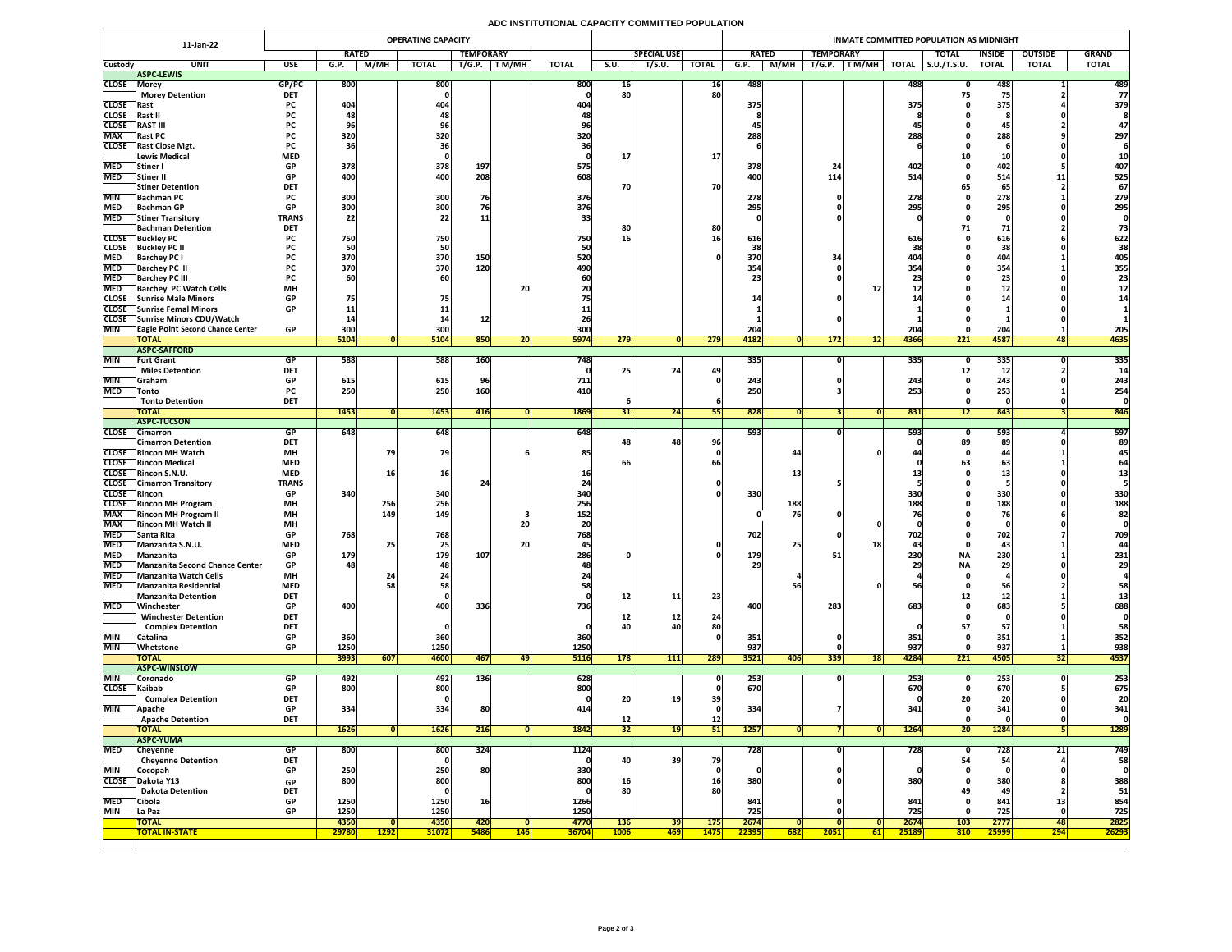# **ADC INSTITUTIONAL CAPACITY COMMITTED POPULATION**

|                            | 11-Jan-22                                                         | <b>OPERATING CAPACITY</b>                                        |                  |                 |                      |                           |                 |               |                           |                     |                                              | <b>INMATE COMMITTED POPULATION AS MIDNIGHT</b> |                 |                  |               |                      |                     |                                 |              |               |  |  |  |
|----------------------------|-------------------------------------------------------------------|------------------------------------------------------------------|------------------|-----------------|----------------------|---------------------------|-----------------|---------------|---------------------------|---------------------|----------------------------------------------|------------------------------------------------|-----------------|------------------|---------------|----------------------|---------------------|---------------------------------|--------------|---------------|--|--|--|
|                            |                                                                   |                                                                  | <b>RATED</b>     |                 | <b>TEMPORARY</b>     |                           |                 |               |                           | <b>SPECIAL USE</b>  |                                              | <b>RATED</b>                                   |                 | <b>TEMPORARY</b> |               |                      | <b>TOTAL</b>        | <b>OUTSIDE</b><br><b>INSIDE</b> |              | <b>GRAND</b>  |  |  |  |
| <b>Custody</b>             | <b>UNIT</b>                                                       | <b>USE</b>                                                       | G.P.             | M/MH            | <b>TOTAL</b>         | T/G.P.                    | T M/MH          | <b>TOTAL</b>  | S.U.                      | $T\overline{/S.U.}$ | <b>TOTAL</b>                                 | G.P.                                           | M/MH            | T/G.P.           | $\mid$ T M/MH | <b>TOTAL</b>         | $\vert$ S.U./T.S.U. | <b>TOTAL</b>                    | <b>TOTAL</b> | <b>TOTAL</b>  |  |  |  |
| <b>CLOSE</b>               | <b>ASPC-LEWIS</b><br> Morey                                       | GP/PC                                                            | 800              |                 | 800                  |                           |                 | 800           | <b>16</b>                 |                     | <b>16</b>                                    | 488                                            |                 |                  |               | 488                  |                     | 488                             |              | 489           |  |  |  |
|                            | <b>Morey Detention</b>                                            | <b>DET</b>                                                       |                  |                 |                      |                           |                 |               | 80                        |                     | 80                                           |                                                |                 |                  |               |                      |                     |                                 |              | 77            |  |  |  |
| <b>CLOSE</b>               | <b>Rast</b>                                                       | <b>PC</b>                                                        | 404              |                 | 404                  |                           |                 | 404           |                           |                     |                                              | 375                                            |                 |                  |               | <b>375</b>           |                     | 375                             |              | 379           |  |  |  |
| <b>CLOSE</b>               | <b>IRast I</b>                                                    |                                                                  |                  |                 |                      |                           |                 |               |                           |                     |                                              |                                                |                 |                  |               |                      |                     |                                 |              |               |  |  |  |
| <b>CLOSE</b>               | <b>RAST III</b>                                                   | <b>PC</b>                                                        |                  |                 |                      |                           |                 |               |                           |                     |                                              |                                                |                 |                  |               |                      |                     | 45                              |              |               |  |  |  |
| <b>MAX</b><br><b>CLOSE</b> | <b>Rast PC</b><br><b>Rast Close Mgt.</b>                          | <b>PC</b><br><b>PC</b>                                           | 320              |                 | 320                  |                           |                 | 320           |                           |                     |                                              | 288                                            |                 |                  |               | 288                  |                     | 288                             |              | 297           |  |  |  |
|                            | Lewis Medical                                                     | <b>MED</b>                                                       |                  |                 | 561                  |                           |                 |               |                           |                     | 17                                           |                                                |                 |                  |               |                      |                     |                                 |              |               |  |  |  |
| <b>MED</b>                 | Stiner I                                                          | <b>GP</b>                                                        | 378              |                 | 378                  | 197                       |                 | 575           |                           |                     |                                              | 378                                            |                 |                  |               | 402.                 |                     | 402                             |              | 407           |  |  |  |
| <b>MED</b>                 | <b>Stiner II</b>                                                  | <b>GP</b>                                                        | 400              |                 | 400                  | 208                       |                 | 608.          |                           |                     |                                              | 400                                            |                 | 114              |               | 514                  |                     | 514                             | 11           | 525           |  |  |  |
|                            | <b>Stiner Detention</b>                                           | <b>DET</b>                                                       |                  |                 |                      |                           |                 |               |                           |                     | 70                                           |                                                |                 |                  |               |                      |                     | 65                              |              | 67            |  |  |  |
|                            | MIN Bachman PC                                                    | <b>PC</b>                                                        | 300              |                 | 300                  |                           |                 | 376           |                           |                     |                                              | 278                                            |                 |                  |               | <b>270</b><br>2/8    |                     | CCC<br>2/8                      |              | 279           |  |  |  |
| <b>MED</b><br><b>MED</b>   | <b>Bachman GP</b>                                                 | <b>GP</b>                                                        | 300              |                 | 300                  | 76                        |                 | 376           |                           |                     |                                              | 295                                            |                 |                  |               | 295                  |                     | 295                             |              | 295           |  |  |  |
|                            | <b>Stiner Transitory</b><br><b>Bachman Detention</b>              | <b>TRANS</b><br><b>DET</b>                                       | 22               |                 | 22                   | <b>11</b>                 |                 | 33            |                           |                     | 80                                           |                                                |                 |                  |               |                      |                     | 71                              |              |               |  |  |  |
|                            | <b>CLOSE</b> Buckley PC                                           | <b>PC</b>                                                        | 750              |                 | 750                  |                           |                 | 750           | 8Ľ<br>16                  |                     |                                              | 616                                            |                 |                  |               | 616                  |                     | 616                             |              | 622           |  |  |  |
| <b>CLOSE</b>               | <b>Buckley PC II</b>                                              |                                                                  |                  |                 | 50                   |                           |                 |               |                           |                     |                                              |                                                |                 |                  |               |                      |                     | 38                              |              | 38            |  |  |  |
| <b>MED</b>                 | <b>Barchey PC I</b>                                               |                                                                  | 370              |                 | 370                  | 150                       |                 | 520           |                           |                     |                                              | 370                                            |                 |                  |               | 404                  |                     | 404                             |              | 405           |  |  |  |
| <b>MED</b>                 | <b>Barchey PC II</b>                                              |                                                                  | 370              |                 | 370                  | 120                       |                 | 490           |                           |                     |                                              | 354                                            |                 |                  |               |                      |                     | 354                             |              | 355           |  |  |  |
| <b>MED</b>                 | <b>Barchey PC III</b>                                             | <b>PC</b>                                                        | <b>60</b>        |                 | 60                   |                           |                 |               |                           |                     |                                              |                                                |                 |                  |               |                      |                     | 23                              |              |               |  |  |  |
| <b>MED</b>                 | <b>Barchey PC Watch Cells</b><br><b>CLOSE</b> Sunrise Male Minors | <b>MH</b><br><b>GP</b>                                           |                  |                 |                      |                           | <b>20</b>       |               |                           |                     |                                              |                                                |                 |                  |               |                      |                     | ┻┻                              |              |               |  |  |  |
| <b>CLOSE</b>               | <b>Sunrise Femal Minors</b>                                       | <b>GP</b>                                                        |                  |                 |                      |                           |                 |               |                           |                     |                                              |                                                |                 |                  |               |                      |                     |                                 |              |               |  |  |  |
|                            | CLOSE Sunrise Minors CDU/Watch                                    |                                                                  |                  |                 |                      |                           |                 |               |                           |                     |                                              |                                                |                 |                  |               |                      |                     |                                 |              |               |  |  |  |
| <b>MIN</b>                 | <b>Eagle Point Second Chance Center</b>                           | <b>GP</b>                                                        | 300              |                 | 300                  |                           |                 | 300           |                           |                     |                                              | 204                                            |                 |                  |               | 204                  |                     | 204                             |              | 205           |  |  |  |
|                            | <b>TOTAL</b>                                                      |                                                                  | 5104             |                 | 5104                 | 850                       | 20 <sup>1</sup> | <b>5974</b>   | 279                       |                     | 279                                          | 4182                                           |                 | 172              | 12            | 4366                 | $\overline{221}$    | 4587                            | 48           | 4635          |  |  |  |
|                            | <b>ASPC-SAFFORD</b>                                               |                                                                  |                  |                 |                      |                           |                 |               |                           |                     |                                              |                                                |                 |                  |               |                      |                     |                                 |              |               |  |  |  |
| <b>MIN</b>                 | <b>Fort Grant</b><br><b>Miles Detention</b>                       | <b>GP</b><br><b>DET</b>                                          | 588              |                 | 588                  | $\overline{160}$          |                 | 748           | 25                        | 24                  | 49                                           | 335                                            |                 |                  |               | <b>3351</b>          |                     | $\overline{335}$<br>12          |              | 335           |  |  |  |
| <b>MIN</b>                 | Graham                                                            | <b>GP</b>                                                        | 615              |                 | 615                  | 96                        |                 | 711           |                           |                     |                                              | 243                                            |                 |                  |               | 243                  |                     | 243                             |              | 243           |  |  |  |
| <b>MED</b>                 | Tonto                                                             | <b>PC</b>                                                        | 250              |                 | 250                  | 160                       |                 | 410           |                           |                     |                                              | 250                                            |                 |                  |               | 253                  |                     | 253                             |              | 254           |  |  |  |
|                            | <b>Tonto Detention</b>                                            | <b>DET</b>                                                       |                  |                 |                      |                           |                 |               |                           |                     |                                              |                                                |                 |                  |               |                      |                     |                                 |              |               |  |  |  |
|                            | <b>TOTAL</b>                                                      |                                                                  | <b>1453</b>      |                 | 1453                 | 416                       |                 | 1869          | <b>31</b>                 | 24                  | וככ                                          | 828                                            |                 |                  |               | 831                  | <u> 121</u>         | 843                             |              | 846           |  |  |  |
|                            | <b>ASPC-TUCSON</b>                                                |                                                                  |                  |                 |                      |                           |                 |               |                           |                     |                                              |                                                |                 |                  |               |                      |                     |                                 |              |               |  |  |  |
| <b>CLOSE</b>               | Cimarron<br><b>Cimarron Detention</b>                             | <b>GP</b><br><b>DET</b>                                          | 648              |                 | 648                  |                           |                 | 648           |                           | 48                  | 96                                           | 593                                            |                 |                  |               | 593                  |                     | 593<br>89                       |              | 597<br>89     |  |  |  |
| <b>CLOSE</b>               | <b>Rincon MH Watch</b>                                            | <b>MH</b>                                                        |                  |                 | 79                   |                           |                 | 85.           |                           |                     |                                              |                                                | 44              |                  |               |                      |                     | 44                              |              |               |  |  |  |
|                            | <b>CLOSE</b> Rincon Medical                                       | <b>MED</b>                                                       |                  |                 |                      |                           |                 |               | ot                        |                     | 66                                           |                                                |                 |                  |               |                      |                     | 63                              |              |               |  |  |  |
|                            | CLOSE Rincon S.N.U.                                               | <b>MED</b>                                                       |                  | 16 <sub>1</sub> | <b>16</b>            |                           |                 |               |                           |                     |                                              |                                                | 13 <sub>1</sub> |                  |               |                      |                     |                                 |              |               |  |  |  |
|                            | <b>CLOSE</b> Cimarron Transitory                                  | <b>TRANS</b>                                                     |                  |                 |                      |                           |                 |               |                           |                     |                                              |                                                |                 |                  |               |                      |                     |                                 |              |               |  |  |  |
| <b>CLOSE</b>               | Rincon                                                            | <b>GP</b>                                                        | 340              |                 | 340                  |                           |                 | 340           |                           |                     |                                              | 330                                            |                 |                  |               | 330                  |                     | 330                             |              | 330           |  |  |  |
| <b>CLOSE</b>               | <b>Rincon MH Program</b>                                          | <b>MH</b>                                                        |                  | 256             | 256                  |                           |                 | 256           |                           |                     |                                              |                                                | 188             |                  |               | 188                  |                     | 188<br>7 <sup>C</sup>           |              | 188           |  |  |  |
| <b>MAX</b><br><b>MAX</b>   | <b>Rincon MH Program II</b><br><b>Rincon MH Watch II</b>          | <b>MH</b><br><b>MH</b>                                           |                  | 149             | 149                  |                           | 20              | 152           |                           |                     |                                              |                                                | 76              |                  |               |                      |                     |                                 |              | 82            |  |  |  |
| <b>MED</b>                 | Santa Rita                                                        | <b>GP</b>                                                        | 768              |                 | 768                  |                           |                 | 768           |                           |                     |                                              | 702                                            |                 |                  |               | 702                  |                     | 702                             |              | 709           |  |  |  |
| <b>MED</b>                 | Manzanita S.N.U.                                                  | <b>MED</b>                                                       |                  |                 | 25                   |                           | <b>20</b>       |               |                           |                     |                                              |                                                | 25              |                  |               |                      |                     | 43                              |              |               |  |  |  |
| <b>MED</b>                 | Manzanita                                                         | <b>GP</b>                                                        | 179              |                 | 179                  | 107                       |                 | 286           |                           |                     |                                              | 179                                            |                 |                  |               | 230                  | <b>NA</b>           | 230                             |              | 231           |  |  |  |
| <b>MED</b>                 | Manzanita Second Chance Center                                    | <b>GP</b>                                                        | 48               |                 |                      |                           |                 |               |                           |                     |                                              | 2 <sub>q</sub>                                 |                 |                  |               |                      | <b>NA</b>           | 29                              |              | 29            |  |  |  |
| <b>MED</b>                 | Manzanita Watch Cells                                             | <b>MH</b>                                                        |                  |                 |                      |                           |                 |               |                           |                     |                                              |                                                |                 |                  |               |                      |                     |                                 |              |               |  |  |  |
| <b>MED</b>                 | <b>Manzanita Residential</b>                                      | <b>MED</b>                                                       |                  |                 | <b>58</b>            |                           |                 |               |                           |                     |                                              |                                                |                 |                  |               |                      |                     | r,                              |              |               |  |  |  |
| <b>MED</b>                 | Manzanita Detention<br>Winchester                                 | <b>DET</b><br><b>GP</b>                                          | 400              |                 | 400                  | 336                       |                 | 736           | 12                        |                     | 23                                           | 400                                            |                 | 283              |               | 683                  |                     | 683                             |              | 688           |  |  |  |
|                            | <b>Winchester Detention</b>                                       | <b>DET</b>                                                       |                  |                 |                      |                           |                 |               |                           | ∸∸                  | 2 <sub>4</sub>                               |                                                |                 |                  |               |                      |                     |                                 |              |               |  |  |  |
|                            | <b>Complex Detention</b>                                          | <b>DET</b>                                                       |                  |                 |                      |                           |                 |               | 40                        | 40                  | 80                                           |                                                |                 |                  |               |                      | $\mathbf{D}$        |                                 |              | 58            |  |  |  |
| <b>MIN</b>                 | Catalina                                                          | <b>GP</b>                                                        | 360              |                 | 360                  |                           |                 | 360           |                           |                     |                                              | 351                                            |                 |                  |               | <b>351</b>           |                     | 351                             |              | 352           |  |  |  |
| <b>MIN</b>                 | Whetstone                                                         | <b>GP</b>                                                        | 1250             |                 | 1250                 |                           |                 | 1250          |                           |                     |                                              | 937                                            |                 |                  |               | 937                  |                     | 937                             |              | 938           |  |  |  |
|                            | <b>TOTAL</b><br><b>ASPC-WINSLOW</b>                               |                                                                  | 3993             | $\boxed{607}$   | 4600                 | <b>467</b>                | 49              | <b>5116</b>   | 178                       | 111                 | 289                                          | 3521                                           | <b>406</b>      | 339              | <b>18</b>     | 4284                 | 221                 | 4505                            | 32           | 4537          |  |  |  |
| <b>MIN</b>                 | Coronado                                                          | GP                                                               | 492              |                 | <b>492</b>           | <b>136</b>                |                 | 628           |                           |                     |                                              | 253                                            |                 |                  |               | 253                  |                     | 253                             |              | 253           |  |  |  |
| <b>CLOSE</b>               | Kaibab                                                            | GP                                                               | 800              |                 | 800                  |                           |                 | 800           |                           |                     |                                              | 670                                            |                 |                  |               | 670                  |                     | 670                             |              | 675           |  |  |  |
|                            | <b>Complex Detention</b>                                          | <b>DFT</b><br>$\triangleright$ $\triangleright$ $\triangleright$ |                  |                 |                      |                           |                 |               | ▴◡▮                       | 1 Q I<br>▃◡         | $\smash{\smash{\cup}}\,\smash{\smash{\cup}}$ |                                                |                 |                  |               |                      | LVI                 | LV                              |              |               |  |  |  |
| <b>MIN</b>                 | Apache                                                            | <b>GP</b>                                                        | 334              |                 | 334                  | 80                        |                 | 414           |                           |                     |                                              | 334                                            |                 |                  |               | 341                  |                     | 341                             |              | 341           |  |  |  |
|                            | <b>Apache Detention</b>                                           | <b>DET</b>                                                       |                  |                 |                      |                           |                 |               |                           |                     | <b>12</b>                                    |                                                |                 |                  |               |                      |                     |                                 |              |               |  |  |  |
|                            | <b>TOTAL</b>                                                      |                                                                  | 1626             |                 | <b>1626</b>          | 216                       |                 | 1842          | 32                        | 19                  | 51                                           | <b>1257</b>                                    |                 |                  |               | <b>1264</b>          | 20                  | <b>1284</b>                     |              | 1289          |  |  |  |
|                            | <b>ASPC-YUMA</b>                                                  |                                                                  |                  |                 |                      |                           |                 |               |                           |                     |                                              |                                                |                 |                  |               |                      |                     |                                 | 91           |               |  |  |  |
| <b>MED</b>                 | Cheyenne<br><b>Cheyenne Detention</b>                             | <b>GP</b><br><b>DET</b>                                          | $\overline{800}$ |                 | 800                  | 324                       |                 | <b>1124</b>   | 40                        | 39                  | 79                                           | 728                                            |                 |                  |               | $\overline{728}$     |                     | $\overline{728}$<br>54          | $\angle$ l   | 749<br>58     |  |  |  |
| <b>MIN</b>                 | Cocopah                                                           | <b>GP</b>                                                        | 250              |                 | 250                  | 80                        |                 | 330           |                           |                     |                                              |                                                |                 |                  |               |                      |                     |                                 |              |               |  |  |  |
| <b>CLOSE</b>               | Dakota Y13                                                        | <b>GP</b>                                                        | 800              |                 | 800                  |                           |                 | 800           | 16                        |                     | <b>16</b>                                    | 380                                            |                 |                  |               | 380                  |                     | 380                             |              | 388           |  |  |  |
|                            | <b>Dakota Detention</b>                                           | <b>DET</b>                                                       |                  |                 |                      |                           |                 |               | 80                        |                     | 80                                           |                                                |                 |                  |               |                      | 49                  | 49                              |              | 51            |  |  |  |
| <b>MED</b>                 | Cibola                                                            | <b>GP</b>                                                        | 1250             |                 | 1250                 | 16                        |                 | 1266          |                           |                     |                                              | 841                                            |                 |                  |               | 841                  |                     | 841                             | ΨŚ           | 854           |  |  |  |
| <b>MIN</b>                 | La Paz                                                            | <b>GP</b>                                                        | 1250             |                 | 1250                 |                           |                 | 1250          |                           |                     |                                              | 725                                            |                 |                  |               | 725                  |                     | 725                             |              | 725           |  |  |  |
|                            | <b>TOTAL</b><br><b>TOTAL IN-STATE</b>                             |                                                                  | 4350<br>29780    | <b>1292</b>     | 4350<br><b>31072</b> | <b>420</b><br><b>5486</b> | 146             | 4770<br>36704 | <b>136</b><br><b>1006</b> | 39<br><b>469</b>    | <b>175</b><br><b>1475</b>                    | 2674<br>22395                                  | 682             | 2051             | 61            | 2674<br><b>25189</b> | 103<br>810          | 2777<br>25999                   | 48<br> 294   | 2825<br>26293 |  |  |  |
|                            |                                                                   |                                                                  |                  |                 |                      |                           |                 |               |                           |                     |                                              |                                                |                 |                  |               |                      |                     |                                 |              |               |  |  |  |